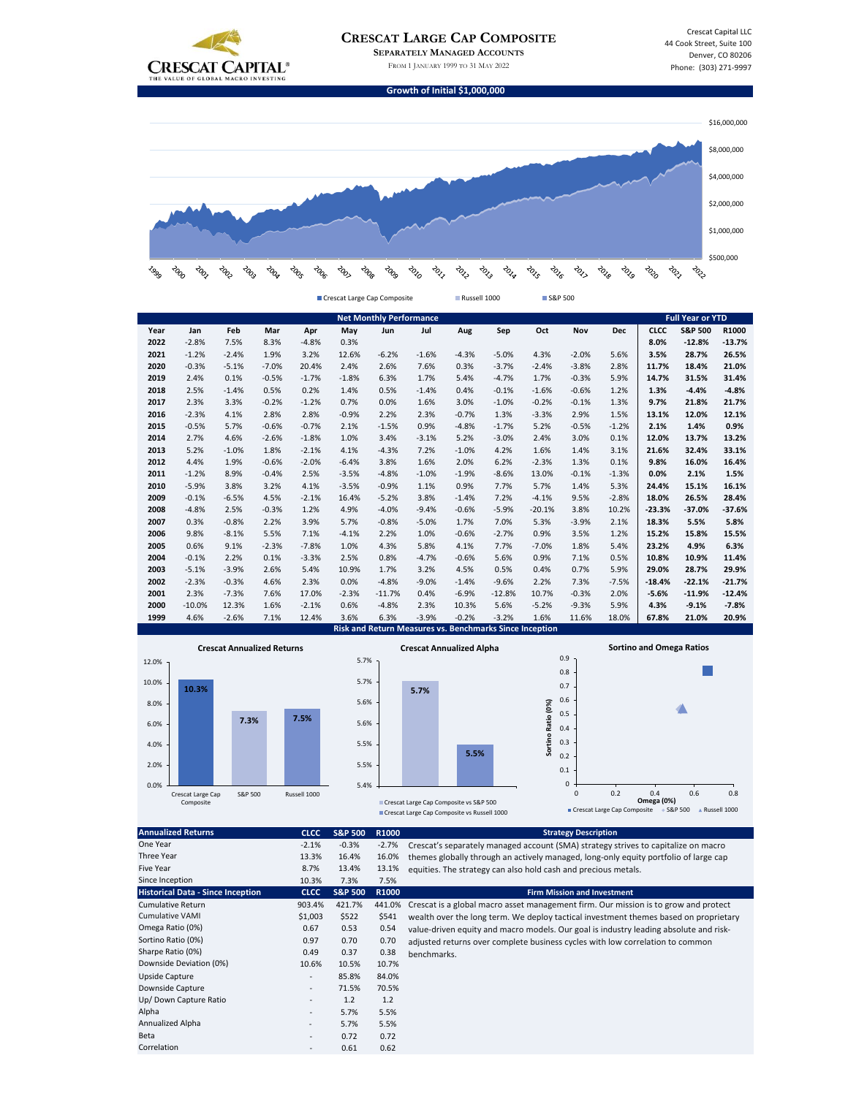

|      | <b>Net Monthly Performance</b> |         |         |         |         |          |         |         |                                                                |          |         | <b>Full Year or YTD</b> |             |                    |          |
|------|--------------------------------|---------|---------|---------|---------|----------|---------|---------|----------------------------------------------------------------|----------|---------|-------------------------|-------------|--------------------|----------|
| Year | Jan                            | Feb     | Mar     | Apr     | May     | Jun      | Jul     | Aug     | Sep                                                            | Oct      | Nov     | <b>Dec</b>              | <b>CLCC</b> | <b>S&amp;P 500</b> | R1000    |
| 2022 | $-2.8%$                        | 7.5%    | 8.3%    | $-4.8%$ | 0.3%    |          |         |         |                                                                |          |         |                         | 8.0%        | $-12.8%$           | $-13.7%$ |
| 2021 | $-1.2%$                        | $-2.4%$ | 1.9%    | 3.2%    | 12.6%   | $-6.2%$  | $-1.6%$ | $-4.3%$ | $-5.0%$                                                        | 4.3%     | $-2.0%$ | 5.6%                    | 3.5%        | 28.7%              | 26.5%    |
| 2020 | $-0.3%$                        | $-5.1%$ | $-7.0%$ | 20.4%   | 2.4%    | 2.6%     | 7.6%    | 0.3%    | $-3.7%$                                                        | $-2.4%$  | $-3.8%$ | 2.8%                    | 11.7%       | 18.4%              | 21.0%    |
| 2019 | 2.4%                           | 0.1%    | $-0.5%$ | $-1.7%$ | $-1.8%$ | 6.3%     | 1.7%    | 5.4%    | $-4.7%$                                                        | 1.7%     | $-0.3%$ | 5.9%                    | 14.7%       | 31.5%              | 31.4%    |
| 2018 | 2.5%                           | $-1.4%$ | 0.5%    | 0.2%    | 1.4%    | 0.5%     | $-1.4%$ | 0.4%    | $-0.1%$                                                        | $-1.6%$  | $-0.6%$ | 1.2%                    | 1.3%        | $-4.4%$            | $-4.8%$  |
| 2017 | 2.3%                           | 3.3%    | $-0.2%$ | $-1.2%$ | 0.7%    | 0.0%     | 1.6%    | 3.0%    | $-1.0%$                                                        | $-0.2%$  | $-0.1%$ | 1.3%                    | 9.7%        | 21.8%              | 21.7%    |
| 2016 | $-2.3%$                        | 4.1%    | 2.8%    | 2.8%    | $-0.9%$ | 2.2%     | 2.3%    | $-0.7%$ | 1.3%                                                           | $-3.3%$  | 2.9%    | 1.5%                    | 13.1%       | 12.0%              | 12.1%    |
| 2015 | $-0.5%$                        | 5.7%    | $-0.6%$ | $-0.7%$ | 2.1%    | $-1.5%$  | 0.9%    | $-4.8%$ | $-1.7%$                                                        | 5.2%     | $-0.5%$ | $-1.2%$                 | 2.1%        | 1.4%               | 0.9%     |
| 2014 | 2.7%                           | 4.6%    | $-2.6%$ | $-1.8%$ | 1.0%    | 3.4%     | $-3.1%$ | 5.2%    | $-3.0%$                                                        | 2.4%     | 3.0%    | 0.1%                    | 12.0%       | 13.7%              | 13.2%    |
| 2013 | 5.2%                           | $-1.0%$ | 1.8%    | $-2.1%$ | 4.1%    | $-4.3%$  | 7.2%    | $-1.0%$ | 4.2%                                                           | 1.6%     | 1.4%    | 3.1%                    | 21.6%       | 32.4%              | 33.1%    |
| 2012 | 4.4%                           | 1.9%    | $-0.6%$ | $-2.0%$ | $-6.4%$ | 3.8%     | 1.6%    | 2.0%    | 6.2%                                                           | $-2.3%$  | 1.3%    | 0.1%                    | 9.8%        | 16.0%              | 16.4%    |
| 2011 | $-1.2%$                        | 8.9%    | $-0.4%$ | 2.5%    | $-3.5%$ | $-4.8%$  | $-1.0%$ | $-1.9%$ | $-8.6%$                                                        | 13.0%    | $-0.1%$ | $-1.3%$                 | 0.0%        | 2.1%               | 1.5%     |
| 2010 | $-5.9%$                        | 3.8%    | 3.2%    | 4.1%    | $-3.5%$ | $-0.9%$  | 1.1%    | 0.9%    | 7.7%                                                           | 5.7%     | 1.4%    | 5.3%                    | 24.4%       | 15.1%              | 16.1%    |
| 2009 | $-0.1%$                        | $-6.5%$ | 4.5%    | $-2.1%$ | 16.4%   | $-5.2%$  | 3.8%    | $-1.4%$ | 7.2%                                                           | $-4.1%$  | 9.5%    | $-2.8%$                 | 18.0%       | 26.5%              | 28.4%    |
| 2008 | $-4.8%$                        | 2.5%    | $-0.3%$ | 1.2%    | 4.9%    | $-4.0%$  | $-9.4%$ | $-0.6%$ | $-5.9%$                                                        | $-20.1%$ | 3.8%    | 10.2%                   | $-23.3%$    | $-37.0%$           | $-37.6%$ |
| 2007 | 0.3%                           | $-0.8%$ | 2.2%    | 3.9%    | 5.7%    | $-0.8%$  | $-5.0%$ | 1.7%    | 7.0%                                                           | 5.3%     | $-3.9%$ | 2.1%                    | 18.3%       | 5.5%               | 5.8%     |
| 2006 | 9.8%                           | $-8.1%$ | 5.5%    | 7.1%    | $-4.1%$ | 2.2%     | 1.0%    | $-0.6%$ | $-2.7%$                                                        | 0.9%     | 3.5%    | 1.2%                    | 15.2%       | 15.8%              | 15.5%    |
| 2005 | 0.6%                           | 9.1%    | $-2.3%$ | $-7.8%$ | 1.0%    | 4.3%     | 5.8%    | 4.1%    | 7.7%                                                           | $-7.0%$  | 1.8%    | 5.4%                    | 23.2%       | 4.9%               | 6.3%     |
| 2004 | $-0.1%$                        | 2.2%    | 0.1%    | $-3.3%$ | 2.5%    | 0.8%     | $-4.7%$ | $-0.6%$ | 5.6%                                                           | 0.9%     | 7.1%    | 0.5%                    | 10.8%       | 10.9%              | 11.4%    |
| 2003 | $-5.1%$                        | $-3.9%$ | 2.6%    | 5.4%    | 10.9%   | 1.7%     | 3.2%    | 4.5%    | 0.5%                                                           | 0.4%     | 0.7%    | 5.9%                    | 29.0%       | 28.7%              | 29.9%    |
| 2002 | $-2.3%$                        | $-0.3%$ | 4.6%    | 2.3%    | 0.0%    | $-4.8%$  | $-9.0%$ | $-1.4%$ | $-9.6%$                                                        | 2.2%     | 7.3%    | $-7.5%$                 | $-18.4%$    | $-22.1%$           | $-21.7%$ |
| 2001 | 2.3%                           | $-7.3%$ | 7.6%    | 17.0%   | $-2.3%$ | $-11.7%$ | 0.4%    | $-6.9%$ | $-12.8%$                                                       | 10.7%    | $-0.3%$ | 2.0%                    | $-5.6%$     | $-11.9%$           | $-12.4%$ |
| 2000 | $-10.0%$                       | 12.3%   | 1.6%    | $-2.1%$ | 0.6%    | $-4.8%$  | 2.3%    | 10.3%   | 5.6%                                                           | $-5.2%$  | $-9.3%$ | 5.9%                    | 4.3%        | $-9.1%$            | $-7.8%$  |
| 1999 | 4.6%                           | $-2.6%$ | 7.1%    | 12.4%   | 3.6%    | 6.3%     | $-3.9%$ | $-0.2%$ | $-3.2%$                                                        | 1.6%     | 11.6%   | 18.0%                   | 67.8%       | 21.0%              | 20.9%    |
|      |                                |         |         |         |         |          |         |         | <b>Risk and Return Measures vs. Benchmarks Since Inception</b> |          |         |                         |             |                    |          |



 $\mathcal{C}^{\mathcal{A}}$ 

| <b>Annualized Returns</b>                | <b>CLCC</b>              | <b>S&amp;P 500</b> | R1000   | <b>Strategy Description</b>                                                           |
|------------------------------------------|--------------------------|--------------------|---------|---------------------------------------------------------------------------------------|
| One Year                                 | $-2.1%$                  | $-0.3%$            | $-2.7%$ | Crescat's separately managed account (SMA) strategy strives to capitalize on macro    |
| Three Year                               | 13.3%                    | 16.4%              | 16.0%   | themes globally through an actively managed, long-only equity portfolio of large cap  |
| <b>Five Year</b>                         | 8.7%                     | 13.4%              | 13.1%   | equities. The strategy can also hold cash and precious metals.                        |
| Since Inception                          | 10.3%                    | 7.3%               | 7.5%    |                                                                                       |
| <b>Historical Data - Since Inception</b> | <b>CLCC</b>              | <b>S&amp;P 500</b> | R1000   | <b>Firm Mission and Investment</b>                                                    |
| <b>Cumulative Return</b>                 | 903.4%                   | 421.7%             | 441.0%  | Crescat is a global macro asset management firm. Our mission is to grow and protect   |
| <b>Cumulative VAMI</b>                   | \$1,003                  | \$522              | \$541   | wealth over the long term. We deploy tactical investment themes based on proprietary  |
| Omega Ratio (0%)                         | 0.67                     | 0.53               | 0.54    | value-driven equity and macro models. Our goal is industry leading absolute and risk- |
| Sortino Ratio (0%)                       | 0.97                     | 0.70               | 0.70    | adjusted returns over complete business cycles with low correlation to common         |
| Sharpe Ratio (0%)                        | 0.49                     | 0.37               | 0.38    | benchmarks.                                                                           |
| Downside Deviation (0%)                  | 10.6%                    | 10.5%              | 10.7%   |                                                                                       |
| Upside Capture                           | $\overline{\phantom{a}}$ | 85.8%              | 84.0%   |                                                                                       |
| Downside Capture                         | $\overline{\phantom{a}}$ | 71.5%              | 70.5%   |                                                                                       |
| Up/Down Capture Ratio                    | $\overline{\phantom{a}}$ | 1.2                | 1.2     |                                                                                       |
| Alpha                                    | $\overline{\phantom{a}}$ | 5.7%               | 5.5%    |                                                                                       |
| Annualized Alpha                         | $\overline{\phantom{a}}$ | 5.7%               | 5.5%    |                                                                                       |
| <b>Beta</b>                              | $\overline{\phantom{a}}$ | 0.72               | 0.72    |                                                                                       |
| Correlation                              |                          | 0.61               | 0.62    |                                                                                       |